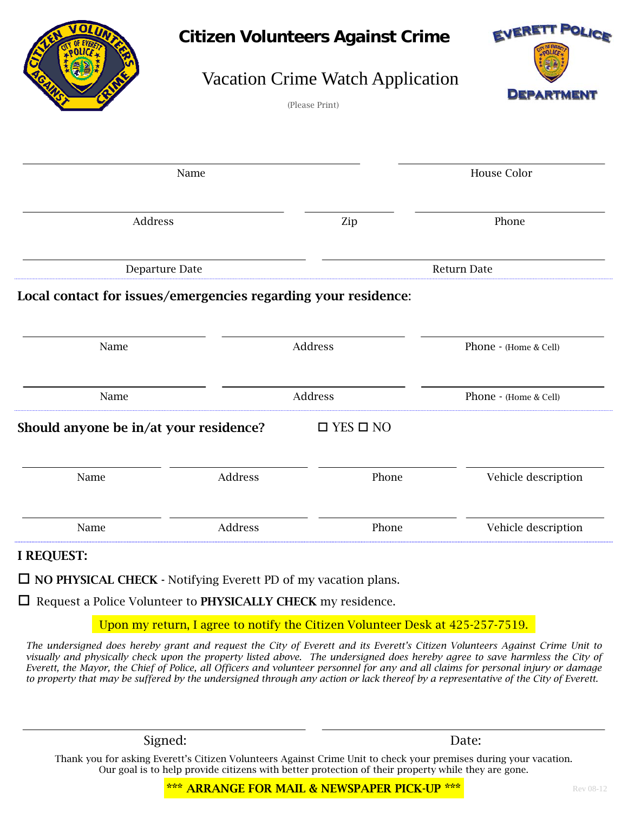| OI                                                                               |         | <b>Citizen Volunteers Against Crime</b><br><b>Vacation Crime Watch Application</b><br>(Please Print) | EVERETT POLICE<br><b>DEPARTMENT</b> |
|----------------------------------------------------------------------------------|---------|------------------------------------------------------------------------------------------------------|-------------------------------------|
|                                                                                  | Name    |                                                                                                      | House Color                         |
| Address                                                                          |         | Zip                                                                                                  | Phone                               |
| Departure Date<br>Local contact for issues/emergencies regarding your residence: |         |                                                                                                      | Return Date                         |
| Name                                                                             |         | Address                                                                                              | Phone - (Home & Cell)               |
| Name                                                                             |         | Address                                                                                              | Phone - (Home & Cell)               |
| Should anyone be in/at your residence?                                           |         | $\Box$ YES $\Box$ NO                                                                                 |                                     |
| Name                                                                             | Address | Phone                                                                                                | Vehicle description                 |
| Name                                                                             | Address | Phone                                                                                                | Vehicle description                 |
| I REQUEST:                                                                       |         |                                                                                                      |                                     |

 $\Box$  NO PHYSICAL CHECK - Notifying Everett PD of my vacation plans.

 $\Box$  Request a Police Volunteer to PHYSICALLY CHECK my residence.

Upon my return, I agree to notify the Citizen Volunteer Desk at 425-257-7519.

*The undersigned does hereby grant and request the City of Everett and its Everett's Citizen Volunteers Against Crime Unit to visually and physically check upon the property listed above. The undersigned does hereby agree to save harmless the City of Everett, the Mayor, the Chief of Police, all Officers and volunteer personnel for any and all claims for personal injury or damage to property that may be suffered by the undersigned through any action or lack thereof by a representative of the City of Everett.*

Signed: Date:

Thank you for asking Everett's Citizen Volunteers Against Crime Unit to check your premises during your vacation. Our goal is to help provide citizens with better protection of their property while they are gone.

\*\*\* ARRANGE FOR MAIL & NEWSPAPER PICK-UP \*\*\*